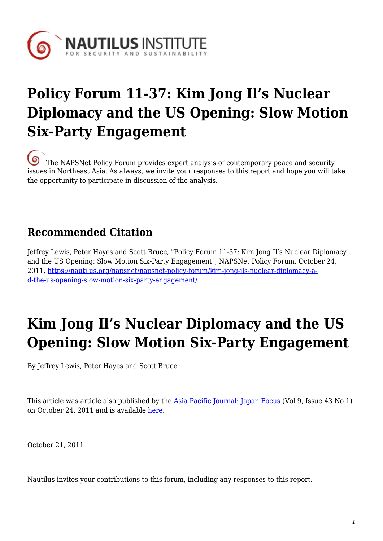

# **Policy Forum 11-37: Kim Jong Il's Nuclear Diplomacy and the US Opening: Slow Motion Six-Party Engagement**

[T](https://nautilus.org/wp-content/uploads/2013/05/nautilus-logo-small.png)he NAPSNet Policy Forum provides expert analysis of contemporary peace and security issues in Northeast Asia. As always, we invite your responses to this report and hope you will take the opportunity to participate in discussion of the analysis.

### **Recommended Citation**

Jeffrey Lewis, Peter Hayes and Scott Bruce, "Policy Forum 11-37: Kim Jong Il's Nuclear Diplomacy and the US Opening: Slow Motion Six-Party Engagement", NAPSNet Policy Forum, October 24, 2011, [https://nautilus.org/napsnet/napsnet-policy-forum/kim-jong-ils-nuclear-diplomacy-a](https://nautilus.org/napsnet/napsnet-policy-forum/kim-jong-ils-nuclear-diplomacy-and-the-us-opening-slow-motion-six-party-engagement/)[d-the-us-opening-slow-motion-six-party-engagement/](https://nautilus.org/napsnet/napsnet-policy-forum/kim-jong-ils-nuclear-diplomacy-and-the-us-opening-slow-motion-six-party-engagement/)

# **Kim Jong Il's Nuclear Diplomacy and the US Opening: Slow Motion Six-Party Engagement**

By Jeffrey Lewis, Peter Hayes and Scott Bruce

This article was article also published by the [Asia Pacific Journal: Japan Focus](http://www.japanfocus.org/home) (Vol 9, Issue 43 No 1) on October 24, 2011 and is available [here.](http://japanfocus.org/-Jeffrey-Lewis/3620)

October 21, 2011

Nautilus invites your contributions to this forum, including any responses to this report.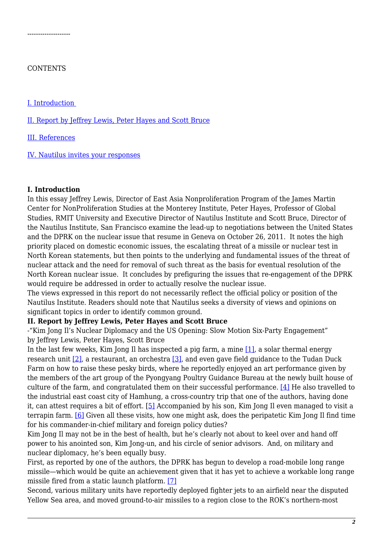### **CONTENTS**

--------------------

[I. Introduction](#page-13-0) 

[II. Report by Jeffrey Lewis, Peter Hayes and Scott Bruce](#page-1-0)

[III. References](#page-10-0)

[IV. Nautilus invites your responses](#page-13-1)

### **I. Introduction**

In this essay Jeffrey Lewis, Director of East Asia Nonproliferation Program of the James Martin Center for NonProliferation Studies at the Monterey Institute, Peter Hayes, Professor of Global Studies, RMIT University and Executive Director of Nautilus Institute and Scott Bruce, Director of the Nautilus Institute, San Francisco examine the lead-up to negotiations between the United States and the DPRK on the nuclear issue that resume in Geneva on October 26, 2011. It notes the high priority placed on domestic economic issues, the escalating threat of a missile or nuclear test in North Korean statements, but then points to the underlying and fundamental issues of the threat of nuclear attack and the need for removal of such threat as the basis for eventual resolution of the North Korean nuclear issue. It concludes by prefiguring the issues that re-engagement of the DPRK would require be addressed in order to actually resolve the nuclear issue.

The views expressed in this report do not necessarily reflect the official policy or position of the Nautilus Institute. Readers should note that Nautilus seeks a diversity of views and opinions on significant topics in order to identify common ground.

### <span id="page-1-0"></span>**II. Report by Jeffrey Lewis, Peter Hayes and Scott Bruce**

-"Kim Jong Il's Nuclear Diplomacy and the US Opening: Slow Motion Six-Party Engagement" by Jeffrey Lewis, Peter Hayes, Scott Bruce

In the last few weeks, Kim Jong Il has inspected a pig farm, a mine [\[1\]](#page-10-1), a solar thermal energy research unit [\[2\],](#page-10-2) a restaurant, an orchestra [\[3\]](#page-10-3), and even gave field guidance to the Tudan Duck Farm on how to raise these pesky birds, where he reportedly enjoyed an art performance given by the members of the art group of the Pyongyang Poultry Guidance Bureau at the newly built house of culture of the farm, and congratulated them on their successful performance. [\[4\]](#page-10-4) He also travelled to the industrial east coast city of Hamhung, a cross-country trip that one of the authors, having done it, can attest requires a bit of effort. [\[5\]](#page-10-5) Accompanied by his son, Kim Jong Il even managed to visit a terrapin farm. [\[6\]](#page-10-6) Given all these visits, how one might ask, does the peripatetic Kim Jong Il find time for his commander-in-chief military and foreign policy duties?

Kim Jong Il may not be in the best of health, but he's clearly not about to keel over and hand off power to his anointed son, Kim Jong-un, and his circle of senior advisors. And, on military and nuclear diplomacy, he's been equally busy.

First, as reported by one of the authors, the DPRK has begun to develop a road-mobile long range missile—which would be quite an achievement given that it has yet to achieve a workable long range missile fired from a static launch platform. [\[7\]](#page-10-7)

Second, various military units have reportedly deployed fighter jets to an airfield near the disputed Yellow Sea area, and moved ground-to-air missiles to a region close to the ROK's northern-most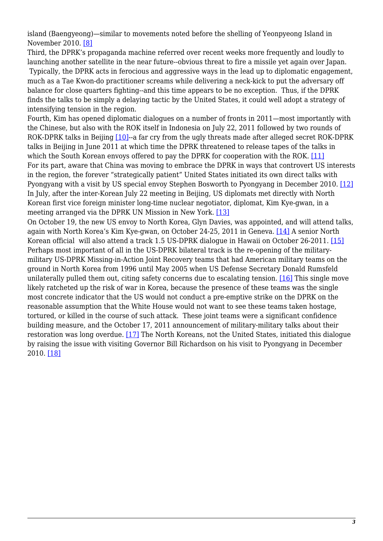island (Baengyeong)—similar to movements noted before the shelling of Yeonpyeong Island in November 2010. [\[8\]](#page-10-8)

Third, the DPRK's propaganda machine referred over recent weeks more frequently and loudly to launching another satellite in the near future--obvious threat to fire a missile yet again over Japan.

 Typically, the DPRK acts in ferocious and aggressive ways in the lead up to diplomatic engagement, much as a Tae Kwon-do practitioner screams while delivering a neck-kick to put the adversary off balance for close quarters fighting--and this time appears to be no exception. Thus, if the DPRK finds the talks to be simply a delaying tactic by the United States, it could well adopt a strategy of intensifying tension in the region.

Fourth, Kim has opened diplomatic dialogues on a number of fronts in 2011—most importantly with the Chinese, but also with the ROK itself in Indonesia on July 22, 2011 followed by two rounds of ROK-DPRK talks in Beijing [\[10\]](#page-10-9)--a far cry from the ugly threats made after alleged secret ROK-DPRK talks in Beijing in June 2011 at which time the DPRK threatened to release tapes of the talks in which the South Korean envoys offered to pay the DPRK for cooperation with the ROK. [\[11\]](#page-10-10) For its part, aware that China was moving to embrace the DPRK in ways that controvert US interests in the region, the forever "strategically patient" United States initiated its own direct talks with Pyongyang with a visit by US special envoy Stephen Bosworth to Pyongyang in December 2010. [\[12\]](#page-10-11) In July, after the inter-Korean July 22 meeting in Beijing, US diplomats met directly with North Korean first vice foreign minister long-time nuclear negotiator, diplomat, Kim Kye-gwan, in a meeting arranged via the DPRK UN Mission in New York. [\[13\]](#page-11-0)

On October 19, the new US envoy to North Korea, Glyn Davies, was appointed, and will attend talks, again with North Korea's Kim Kye-gwan, on October 24-25, 2011 in Geneva. [\[14\]](#page-11-1) A senior North Korean official will also attend a track 1.5 US-DPRK dialogue in Hawaii on October 26-2011. [\[15\]](#page-11-2) Perhaps most important of all in the US-DPRK bilateral track is the re-opening of the militarymilitary US-DPRK Missing-in-Action Joint Recovery teams that had American military teams on the ground in North Korea from 1996 until May 2005 when US Defense Secretary Donald Rumsfeld unilaterally pulled them out, citing safety concerns due to escalating tension. [\[16\]](#page-11-3) This single move likely ratcheted up the risk of war in Korea, because the presence of these teams was the single most concrete indicator that the US would not conduct a pre-emptive strike on the DPRK on the reasonable assumption that the White House would not want to see these teams taken hostage, tortured, or killed in the course of such attack. These joint teams were a significant confidence building measure, and the October 17, 2011 announcement of military-military talks about their restoration was long overdue. [\[17\]](#page-11-4) The North Koreans, not the United States, initiated this dialogue by raising the issue with visiting Governor Bill Richardson on his visit to Pyongyang in December 2010. [\[18\]](#page-11-5)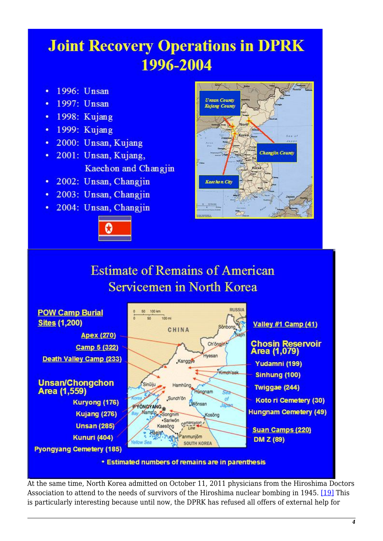# **Joint Recovery Operations in DPRK** 1996-2004

- 1996: Unsan  $\bullet$
- 1997: Unsan
- $\cdot$  1998: Kujang
- $\cdot$  1999: Kujang
- · 2000: Unsan, Kujang
- · 2001: Unsan, Kujang, Kaechon and Changin
- 2002: Unsan, Changjin
- · 2003: Unsan, Changjin
- · 2004: Unsan, Changjin





## **Estimate of Remains of American Servicemen in North Korea**



• Estimated numbers of remains are in parenthesis

At the same time, North Korea admitted on October 11, 2011 physicians from the Hiroshima Doctors Association to attend to the needs of survivors of the Hiroshima nuclear bombing in 1945. [\[19\]](#page-11-6) This is particularly interesting because until now, the DPRK has refused all offers of external help for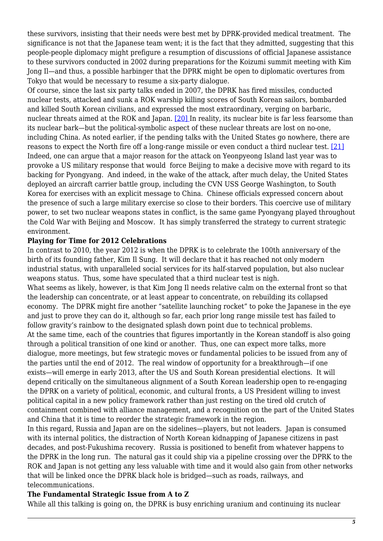these survivors, insisting that their needs were best met by DPRK-provided medical treatment. The significance is not that the Japanese team went; it is the fact that they admitted, suggesting that this people-people diplomacy might prefigure a resumption of discussions of official Japanese assistance to these survivors conducted in 2002 during preparations for the Koizumi summit meeting with Kim Jong Il—and thus, a possible harbinger that the DPRK might be open to diplomatic overtures from Tokyo that would be necessary to resume a six-party dialogue.

Of course, since the last six party talks ended in 2007, the DPRK has fired missiles, conducted nuclear tests, attacked and sunk a ROK warship killing scores of South Korean sailors, bombarded and killed South Korean civilians, and expressed the most extraordinary, verging on barbaric, nuclear threats aimed at the ROK and Japan. [\[20\] I](#page-11-7)n reality, its nuclear bite is far less fearsome than its nuclear bark—but the political-symbolic aspect of these nuclear threats are lost on no-one, including China. As noted earlier, if the pending talks with the United States go nowhere, there are reasons to expect the North fire off a long-range missile or even conduct a third nuclear test. [\[21\]](#page-11-8) Indeed, one can argue that a major reason for the attack on Yeonpyeong Island last year was to provoke a US military response that would force Beijing to make a decisive move with regard to its backing for Pyongyang. And indeed, in the wake of the attack, after much delay, the United States deployed an aircraft carrier battle group, including the CVN USS George Washington, to South Korea for exercises with an explicit message to China. Chinese officials expressed concern about the presence of such a large military exercise so close to their borders. This coercive use of military power, to set two nuclear weapons states in conflict, is the same game Pyongyang played throughout the Cold War with Beijing and Moscow. It has simply transferred the strategy to current strategic environment.

### **Playing for Time for 2012 Celebrations**

In contrast to 2010, the year 2012 is when the DPRK is to celebrate the 100th anniversary of the birth of its founding father, Kim Il Sung. It will declare that it has reached not only modern industrial status, with unparalleled social services for its half-starved population, but also nuclear weapons status. Thus, some have speculated that a third nuclear test is nigh.

What seems as likely, however, is that Kim Jong Il needs relative calm on the external front so that the leadership can concentrate, or at least appear to concentrate, on rebuilding its collapsed economy. The DPRK might fire another "satellite launching rocket" to poke the Japanese in the eye and just to prove they can do it, although so far, each prior long range missile test has failed to follow gravity's rainbow to the designated splash down point due to technical problems. At the same time, each of the countries that figures importantly in the Korean standoff is also going through a political transition of one kind or another. Thus, one can expect more talks, more dialogue, more meetings, but few strategic moves or fundamental policies to be issued from any of the parties until the end of 2012. The real window of opportunity for a breakthrough—if one exists—will emerge in early 2013, after the US and South Korean presidential elections. It will depend critically on the simultaneous alignment of a South Korean leadership open to re-engaging the DPRK on a variety of political, economic, and cultural fronts, a US President willing to invest political capital in a new policy framework rather than just resting on the tired old crutch of containment combined with alliance management, and a recognition on the part of the United States and China that it is time to reorder the strategic framework in the region.

In this regard, Russia and Japan are on the sidelines—players, but not leaders. Japan is consumed with its internal politics, the distraction of North Korean kidnapping of Japanese citizens in past decades, and post-Fukushima recovery. Russia is positioned to benefit from whatever happens to the DPRK in the long run. The natural gas it could ship via a pipeline crossing over the DPRK to the ROK and Japan is not getting any less valuable with time and it would also gain from other networks that will be linked once the DPRK black hole is bridged—such as roads, railways, and telecommunications.

### **The Fundamental Strategic Issue from A to Z**

While all this talking is going on, the DPRK is busy enriching uranium and continuing its nuclear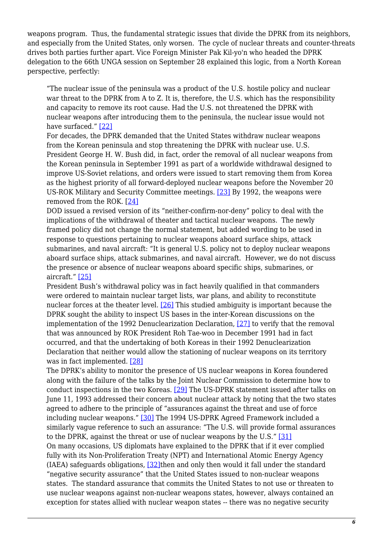weapons program. Thus, the fundamental strategic issues that divide the DPRK from its neighbors, and especially from the United States, only worsen. The cycle of nuclear threats and counter-threats drives both parties further apart. Vice Foreign Minister Pak Kil-yo'n who headed the DPRK delegation to the 66th UNGA session on September 28 explained this logic, from a North Korean perspective, perfectly:

"The nuclear issue of the peninsula was a product of the U.S. hostile policy and nuclear war threat to the DPRK from A to Z. It is, therefore, the U.S. which has the responsibility and capacity to remove its root cause. Had the U.S. not threatened the DPRK with nuclear weapons after introducing them to the peninsula, the nuclear issue would not have surfaced." [\[22\]](#page-11-9)

For decades, the DPRK demanded that the United States withdraw nuclear weapons from the Korean peninsula and stop threatening the DPRK with nuclear use. U.S. President George H. W. Bush did, in fact, order the removal of all nuclear weapons from the Korean peninsula in September 1991 as part of a worldwide withdrawal designed to improve US-Soviet relations, and orders were issued to start removing them from Korea as the highest priority of all forward-deployed nuclear weapons before the November 20 US-ROK Military and Security Committee meetings. [\[23\]](#page-11-10) By 1992, the weapons were removed from the ROK. [[24\]](#page-11-11)

DOD issued a revised version of its "neither-confirm-nor-deny" policy to deal with the implications of the withdrawal of theater and tactical nuclear weapons. The newly framed policy did not change the normal statement, but added wording to be used in response to questions pertaining to nuclear weapons aboard surface ships, attack submarines, and naval aircraft: "It is general U.S. policy not to deploy nuclear weapons aboard surface ships, attack submarines, and naval aircraft. However, we do not discuss the presence or absence of nuclear weapons aboard specific ships, submarines, or aircraft." [\[25\]](#page-12-0)

President Bush's withdrawal policy was in fact heavily qualified in that commanders were ordered to maintain nuclear target lists, war plans, and ability to reconstitute nuclear forces at the theater level. [\[26\]](#page-12-1) This studied ambiguity is important because the DPRK sought the ability to inspect US bases in the inter-Korean discussions on the implementation of the 1992 Denuclearization Declaration, [\[27\]](#page-12-2) to verify that the removal that was announced by ROK President Roh Tae-woo in December 1991 had in fact occurred, and that the undertaking of both Koreas in their 1992 Denuclearization Declaration that neither would allow the stationing of nuclear weapons on its territory was in fact implemented. [\[28\]](#page-12-3)

The DPRK's ability to monitor the presence of US nuclear weapons in Korea foundered along with the failure of the talks by the Joint Nuclear Commission to determine how to conduct inspections in the two Koreas. [\[29\]](#page-12-4) The US-DPRK statement issued after talks on June 11, 1993 addressed their concern about nuclear attack by noting that the two states agreed to adhere to the principle of "assurances against the threat and use of force including nuclear weapons." [\[30\]](#page-12-5) The 1994 US-DPRK Agreed Framework included a similarly vague reference to such an assurance: "The U.S. will provide formal assurances to the DPRK, against the threat or use of nuclear weapons by the U.S." [\[31\]](#page-12-6) On many occasions, US diplomats have explained to the DPRK that if it ever complied fully with its Non-Proliferation Treaty (NPT) and International Atomic Energy Agency  $(IAEA)$  safeguards obligations,  $[32]$ then and only then would it fall under the standard "negative security assurance" that the United States issued to non-nuclear weapons states. The standard assurance that commits the United States to not use or threaten to use nuclear weapons against non-nuclear weapons states, however, always contained an exception for states allied with nuclear weapon states -- there was no negative security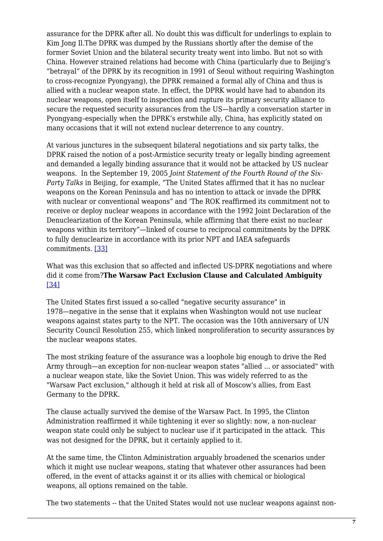assurance for the DPRK after all. No doubt this was difficult for underlings to explain to Kim Jong Il.The DPRK was dumped by the Russians shortly after the demise of the former Soviet Union and the bilateral security treaty went into limbo. But not so with China. However strained relations had become with China (particularly due to Beijing's "betrayal" of the DPRK by its recognition in 1991 of Seoul without requiring Washington to cross-recognize Pyongyang), the DPRK remained a formal ally of China and thus is allied with a nuclear weapon state. In effect, the DPRK would have had to abandon its nuclear weapons, open itself to inspection and rupture its primary security alliance to secure the requested security assurances from the US—hardly a conversation starter in Pyongyang–especially when the DPRK's erstwhile ally, China, has explicitly stated on many occasions that it will not extend nuclear deterrence to any country.

At various junctures in the subsequent bilateral negotiations and six party talks, the DPRK raised the notion of a post-Armistice security treaty or legally binding agreement and demanded a legally binding assurance that it would not be attacked by US nuclear weapons. In the September 19, 2005 *Joint Statement of the Fourth Round of the Six-Party Talks* in Beijing, for example, "The United States affirmed that it has no nuclear weapons on the Korean Peninsula and has no intention to attack or invade the DPRK with nuclear or conventional weapons" and 'The ROK reaffirmed its commitment not to receive or deploy nuclear weapons in accordance with the 1992 Joint Declaration of the Denuclearization of the Korean Peninsula, while affirming that there exist no nuclear weapons within its territory"—linked of course to reciprocal commitments by the DPRK to fully denuclearize in accordance with its prior NPT and IAEA safeguards commitments. [\[33\]](#page-12-8)

### What was this exclusion that so affected and inflected US-DPRK negotiations and where did it come from?**The Warsaw Pact Exclusion Clause and Calculated Ambiguity** [\[34\]](#page-12-9)

The United States first issued a so-called "negative security assurance" in 1978—negative in the sense that it explains when Washington would not use nuclear weapons against states party to the NPT. The occasion was the 10th anniversary of UN Security Council Resolution 255, which linked nonproliferation to security assurances by the nuclear weapons states.

The most striking feature of the assurance was a loophole big enough to drive the Red Army through—an exception for non-nuclear weapon states "allied ... or associated" with a nuclear weapon state, like the Soviet Union. This was widely referred to as the "Warsaw Pact exclusion," although it held at risk all of Moscow's allies, from East Germany to the DPRK.

The clause actually survived the demise of the Warsaw Pact. In 1995, the Clinton Administration reaffirmed it while tightening it ever so slightly: now, a non-nuclear weapon state could only be subject to nuclear use if it participated in the attack. This was not designed for the DPRK, but it certainly applied to it.

At the same time, the Clinton Administration arguably broadened the scenarios under which it might use nuclear weapons, stating that whatever other assurances had been offered, in the event of attacks against it or its allies with chemical or biological weapons, all options remained on the table.

The two statements -- that the United States would not use nuclear weapons against non-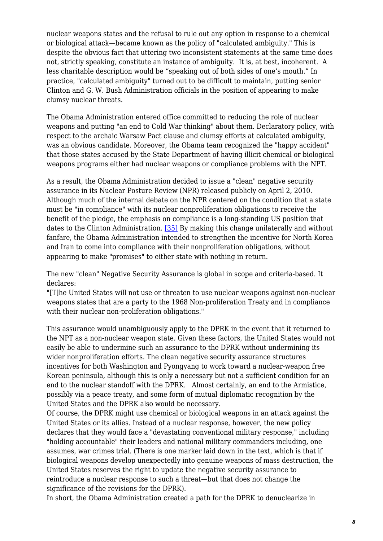nuclear weapons states and the refusal to rule out any option in response to a chemical or biological attack—became known as the policy of "calculated ambiguity." This is despite the obvious fact that uttering two inconsistent statements at the same time does not, strictly speaking, constitute an instance of ambiguity. It is, at best, incoherent. A less charitable description would be "speaking out of both sides of one's mouth." In practice, "calculated ambiguity" turned out to be difficult to maintain, putting senior Clinton and G. W. Bush Administration officials in the position of appearing to make clumsy nuclear threats.

The Obama Administration entered office committed to reducing the role of nuclear weapons and putting "an end to Cold War thinking" about them. Declaratory policy, with respect to the archaic Warsaw Pact clause and clumsy efforts at calculated ambiguity, was an obvious candidate. Moreover, the Obama team recognized the "happy accident" that those states accused by the State Department of having illicit chemical or biological weapons programs either had nuclear weapons or compliance problems with the NPT.

As a result, the Obama Administration decided to issue a "clean" negative security assurance in its Nuclear Posture Review (NPR) released publicly on April 2, 2010. Although much of the internal debate on the NPR centered on the condition that a state must be "in compliance" with its nuclear nonproliferation obligations to receive the benefit of the pledge, the emphasis on compliance is a long-standing US position that dates to the Clinton Administration. [\[35\]](#page-13-2) By making this change unilaterally and without fanfare, the Obama Administration intended to strengthen the incentive for North Korea and Iran to come into compliance with their nonproliferation obligations, without appearing to make "promises" to either state with nothing in return.

The new "clean" Negative Security Assurance is global in scope and criteria-based. It declares:

"[T]he United States will not use or threaten to use nuclear weapons against non-nuclear weapons states that are a party to the 1968 Non-proliferation Treaty and in compliance with their nuclear non-proliferation obligations."

This assurance would unambiguously apply to the DPRK in the event that it returned to the NPT as a non-nuclear weapon state. Given these factors, the United States would not easily be able to undermine such an assurance to the DPRK without undermining its wider nonproliferation efforts. The clean negative security assurance structures incentives for both Washington and Pyongyang to work toward a nuclear-weapon free Korean peninsula, although this is only a necessary but not a sufficient condition for an end to the nuclear standoff with the DPRK. Almost certainly, an end to the Armistice, possibly via a peace treaty, and some form of mutual diplomatic recognition by the United States and the DPRK also would be necessary.

Of course, the DPRK might use chemical or biological weapons in an attack against the United States or its allies. Instead of a nuclear response, however, the new policy declares that they would face a "devastating conventional military response," including "holding accountable" their leaders and national military commanders including, one assumes, war crimes trial. (There is one marker laid down in the text, which is that if biological weapons develop unexpectedly into genuine weapons of mass destruction, the United States reserves the right to update the negative security assurance to reintroduce a nuclear response to such a threat—but that does not change the significance of the revisions for the DPRK).

In short, the Obama Administration created a path for the DPRK to denuclearize in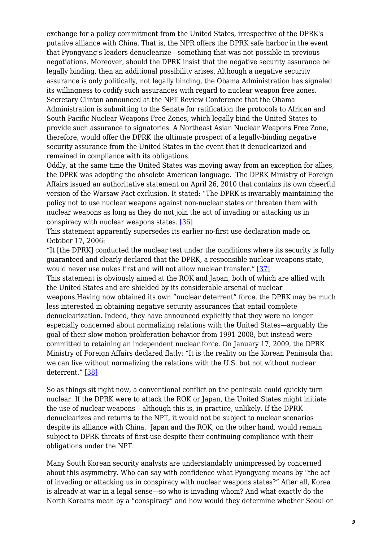exchange for a policy commitment from the United States, irrespective of the DPRK's putative alliance with China. That is, the NPR offers the DPRK safe harbor in the event that Pyongyang's leaders denuclearize—something that was not possible in previous negotiations. Moreover, should the DPRK insist that the negative security assurance be legally binding, then an additional possibility arises. Although a negative security assurance is only politically, not legally binding, the Obama Administration has signaled its willingness to codify such assurances with regard to nuclear weapon free zones. Secretary Clinton announced at the NPT Review Conference that the Obama Administration is submitting to the Senate for ratification the protocols to African and South Pacific Nuclear Weapons Free Zones, which legally bind the United States to provide such assurance to signatories. A Northeast Asian Nuclear Weapons Free Zone, therefore, would offer the DPRK the ultimate prospect of a legally-binding negative security assurance from the United States in the event that it denuclearized and remained in compliance with its obligations.

Oddly, at the same time the United States was moving away from an exception for allies, the DPRK was adopting the obsolete American language. The DPRK Ministry of Foreign Affairs issued an authoritative statement on April 26, 2010 that contains its own cheerful version of the Warsaw Pact exclusion. It stated: "The DPRK is invariably maintaining the policy not to use nuclear weapons against non-nuclear states or threaten them with nuclear weapons as long as they do not join the act of invading or attacking us in conspiracy with nuclear weapons states. [\[36\]](#page-13-3)

This statement apparently supersedes its earlier no-first use declaration made on October 17, 2006:

"It [the DPRK] conducted the nuclear test under the conditions where its security is fully guaranteed and clearly declared that the DPRK, a responsible nuclear weapons state, would never use nukes first and will not allow nuclear transfer." [\[37\]](#page-13-4) This statement is obviously aimed at the ROK and Japan, both of which are allied with the United States and are shielded by its considerable arsenal of nuclear weapons.Having now obtained its own "nuclear deterrent" force, the DPRK may be much less interested in obtaining negative security assurances that entail complete denuclearization. Indeed, they have announced explicitly that they were no longer especially concerned about normalizing relations with the United States—arguably the goal of their slow motion proliferation behavior from 1991-2008, but instead were committed to retaining an independent nuclear force. On January 17, 2009, the DPRK Ministry of Foreign Affairs declared flatly: "It is the reality on the Korean Peninsula that we can live without normalizing the relations with the U.S. but not without nuclear

deterrent." [\[38\]](#page-13-5)

So as things sit right now, a conventional conflict on the peninsula could quickly turn nuclear. If the DPRK were to attack the ROK or Japan, the United States might initiate the use of nuclear weapons – although this is, in practice, unlikely. If the DPRK denuclearizes and returns to the NPT, it would not be subject to nuclear scenarios despite its alliance with China. Japan and the ROK, on the other hand, would remain subject to DPRK threats of first-use despite their continuing compliance with their obligations under the NPT.

Many South Korean security analysts are understandably unimpressed by concerned about this asymmetry. Who can say with confidence what Pyongyang means by "the act of invading or attacking us in conspiracy with nuclear weapons states?" After all, Korea is already at war in a legal sense—so who is invading whom? And what exactly do the North Koreans mean by a "conspiracy" and how would they determine whether Seoul or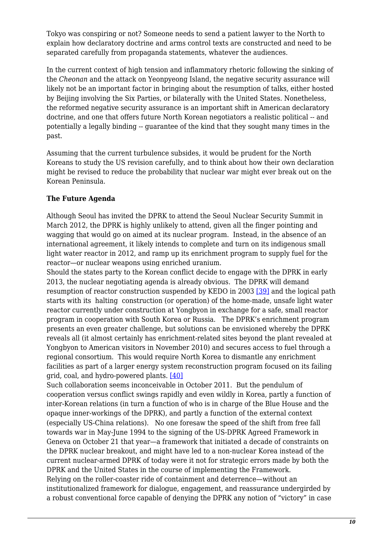Tokyo was conspiring or not? Someone needs to send a patient lawyer to the North to explain how declaratory doctrine and arms control texts are constructed and need to be separated carefully from propaganda statements, whatever the audiences.

In the current context of high tension and inflammatory rhetoric following the sinking of the *Cheonan* and the attack on Yeonpyeong Island, the negative security assurance will likely not be an important factor in bringing about the resumption of talks, either hosted by Beijing involving the Six Parties, or bilaterally with the United States. Nonetheless, the reformed negative security assurance is an important shift in American declaratory doctrine, and one that offers future North Korean negotiators a realistic political -- and potentially a legally binding -- guarantee of the kind that they sought many times in the past.

Assuming that the current turbulence subsides, it would be prudent for the North Koreans to study the US revision carefully, and to think about how their own declaration might be revised to reduce the probability that nuclear war might ever break out on the Korean Peninsula.

### **The Future Agenda**

Although Seoul has invited the DPRK to attend the Seoul Nuclear Security Summit in March 2012, the DPRK is highly unlikely to attend, given all the finger pointing and wagging that would go on aimed at its nuclear program. Instead, in the absence of an international agreement, it likely intends to complete and turn on its indigenous small light water reactor in 2012, and ramp up its enrichment program to supply fuel for the reactor—or nuclear weapons using enriched uranium.

Should the states party to the Korean conflict decide to engage with the DPRK in early 2013, the nuclear negotiating agenda is already obvious. The DPRK will demand resumption of reactor construction suspended by KEDO in 2003 [\[39\]](#page-13-6) and the logical path starts with its halting construction (or operation) of the home-made, unsafe light water reactor currently under construction at Yongbyon in exchange for a safe, small reactor program in cooperation with South Korea or Russia. The DPRK's enrichment program presents an even greater challenge, but solutions can be envisioned whereby the DPRK reveals all (it almost certainly has enrichment-related sites beyond the plant revealed at Yongbyon to American visitors in November 2010) and secures access to fuel through a regional consortium. This would require North Korea to dismantle any enrichment facilities as part of a larger energy system reconstruction program focused on its failing grid, coal, and hydro-powered plants. [\[40\]](#page-13-7)

Such collaboration seems inconceivable in October 2011. But the pendulum of cooperation versus conflict swings rapidly and even wildly in Korea, partly a function of inter-Korean relations (in turn a function of who is in charge of the Blue House and the opaque inner-workings of the DPRK), and partly a function of the external context (especially US-China relations). No one foresaw the speed of the shift from free fall towards war in May-June 1994 to the signing of the US-DPRK Agreed Framework in Geneva on October 21 that year—a framework that initiated a decade of constraints on the DPRK nuclear breakout, and might have led to a non-nuclear Korea instead of the current nuclear-armed DPRK of today were it not for strategic errors made by both the DPRK and the United States in the course of implementing the Framework. Relying on the roller-coaster ride of containment and deterrence—without an institutionalized framework for dialogue, engagement, and reassurance undergirded by a robust conventional force capable of denying the DPRK any notion of "victory" in case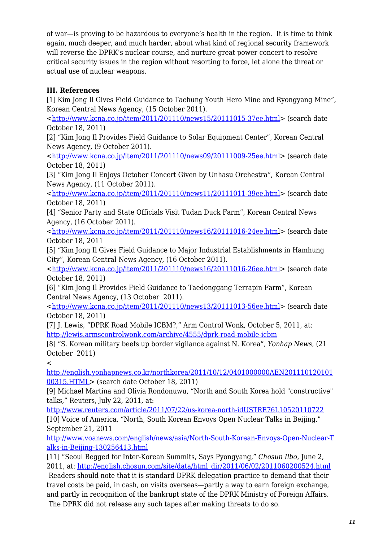of war—is proving to be hazardous to everyone's health in the region. It is time to think again, much deeper, and much harder, about what kind of regional security framework will reverse the DPRK's nuclear course, and nurture great power concert to resolve critical security issues in the region without resorting to force, let alone the threat or actual use of nuclear weapons.

### <span id="page-10-0"></span>**III. References**

<span id="page-10-1"></span>[1] Kim Jong Il Gives Field Guidance to Taehung Youth Hero Mine and Ryongyang Mine", Korean Central News Agency, (15 October 2011).

<<http://www.kcna.co.jp/item/2011/201110/news15/20111015-37ee.html>> (search date October 18, 2011)

<span id="page-10-2"></span>[2] "Kim Jong Il Provides Field Guidance to Solar Equipment Center", Korean Central News Agency, (9 October 2011).

<<http://www.kcna.co.jp/item/2011/201110/news09/20111009-25ee.html>> (search date October 18, 2011)

<span id="page-10-3"></span>[3] "Kim Jong Il Enjoys October Concert Given by Unhasu Orchestra", Korean Central News Agency, (11 October 2011).

<<http://www.kcna.co.jp/item/2011/201110/news11/20111011-39ee.html>> (search date October 18, 2011)

<span id="page-10-4"></span>[4] "Senior Party and State Officials Visit Tudan Duck Farm", Korean Central News Agency, (16 October 2011).

<<http://www.kcna.co.jp/item/2011/201110/news16/20111016-24ee.htm>l> (search date October 18, 2011

<span id="page-10-5"></span>[5] "Kim Jong Il Gives Field Guidance to Major Industrial Establishments in Hamhung City", Korean Central News Agency, (16 October 2011).

<<http://www.kcna.co.jp/item/2011/201110/news16/20111016-26ee.html>> (search date October 18, 2011)

<span id="page-10-6"></span>[6] "Kim Jong Il Provides Field Guidance to Taedonggang Terrapin Farm", Korean Central News Agency, (13 October 2011).

<<http://www.kcna.co.jp/item/2011/201110/news13/20111013-56ee.html>> (search date October 18, 2011)

<span id="page-10-7"></span>[7] J. Lewis, "DPRK Road Mobile ICBM?," Arm Control Wonk, October 5, 2011, at: <http://lewis.armscontrolwonk.com/archive/4555/dprk-road-mobile-icbm>

<span id="page-10-8"></span>[8] "S. Korean military beefs up border vigilance against N. Korea", *Yonhap News*, (21 October 2011)

 $\prec$ 

[http://english.yonhapnews.co.kr/northkorea/2011/10/12/0401000000AEN201110120101](http://english.yonhapnews.co.kr/northkorea/2011/10/12/0401000000AEN20111012010100315.HTML) [00315.HTML](http://english.yonhapnews.co.kr/northkorea/2011/10/12/0401000000AEN20111012010100315.HTML)> (search date October 18, 2011)

[9] Michael Martina and Olivia Rondonuwu, "North and South Korea hold "constructive" talks," Reuters, July 22, 2011, at:

<span id="page-10-9"></span><http://www.reuters.com/article/2011/07/22/us-korea-north-idUSTRE76L10520110722> [10] Voice of America, "North, South Korean Envoys Open Nuclear Talks in Beijing," September 21, 2011

[http://www.voanews.com/english/news/asia/North-South-Korean-Envoys-Open-Nuclear-T](http://www.voanews.com/english/news/asia/North-South-Korean-Envoys-Open-Nuclear-Talks-in-Beijing-130256413.html) [alks-in-Beijing-130256413.html](http://www.voanews.com/english/news/asia/North-South-Korean-Envoys-Open-Nuclear-Talks-in-Beijing-130256413.html)

<span id="page-10-10"></span>[11] "Seoul Begged for Inter-Korean Summits, Says Pyongyang," *Chosun Ilbo*, June 2, 2011, at: [http://english.chosun.com/site/data/html\\_dir/2011/06/02/2011060200524.html](http://english.chosun.com/site/data/html_dir/2011/06/02/2011060200524.html)

<span id="page-10-11"></span> Readers should note that it is standard DPRK delegation practice to demand that their travel costs be paid, in cash, on visits overseas—partly a way to earn foreign exchange, and partly in recognition of the bankrupt state of the DPRK Ministry of Foreign Affairs. The DPRK did not release any such tapes after making threats to do so.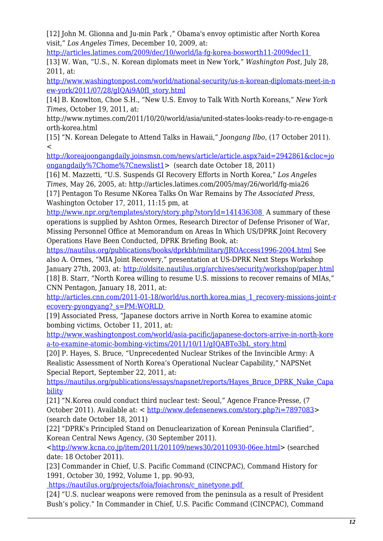[12] John M. Glionna and Ju-min Park ," Obama's envoy optimistic after North Korea visit," *Los Angeles Times*, December 10, 2009, at:

<http://articles.latimes.com/2009/dec/10/world/la-fg-korea-bosworth11-2009dec11>

<span id="page-11-0"></span>[13] W. Wan, "U.S., N. Korean diplomats meet in New York," *Washington Post,* July 28, 2011, at:

[http://www.washingtonpost.com/world/national-security/us-n-korean-diplomats-meet-in-n](http://www.washingtonpost.com/world/national-security/us-n-korean-diplomats-meet-in-new-york/2011/07/28/gIQAi9A0fI_story.html) [ew-york/2011/07/28/gIQAi9A0fI\\_story.html](http://www.washingtonpost.com/world/national-security/us-n-korean-diplomats-meet-in-new-york/2011/07/28/gIQAi9A0fI_story.html)

<span id="page-11-1"></span>[14] B. Knowlton, Choe S.H., "New U.S. Envoy to Talk With North Koreans," *New York Times*, October 19, 2011, at:

http://www.nytimes.com/2011/10/20/world/asia/united-states-looks-ready-to-re-engage-n orth-korea.html

<span id="page-11-2"></span>[15] "N. Korean Delegate to Attend Talks in Hawaii," *Joongang Ilbo*, (17 October 2011).  $\,<$ 

[http://koreajoongangdaily.joinsmsn.com/news/article/article.aspx?aid=2942861&cloc=jo](http://koreajoongangdaily.joinsmsn.com/news/article/article.aspx?aid=2942861&cloc=joongangdaily|home|newslist1) [ongangdaily%7Chome%7Cnewslist1>](http://koreajoongangdaily.joinsmsn.com/news/article/article.aspx?aid=2942861&cloc=joongangdaily|home|newslist1) (search date October 18, 2011)

<span id="page-11-4"></span><span id="page-11-3"></span>[16] M. Mazzetti, "U.S. Suspends GI Recovery Efforts in North Korea," *Los Angeles Times*, May 26, 2005, at: http://articles.latimes.com/2005/may/26/world/fg-mia26 [17] Pentagon To Resume NKorea Talks On War Remains by *The Associated Press*, Washington October 17, 2011, 11:15 pm, at

<http://www.npr.org/templates/story/story.php?storyId=141436308>A summary of these operations is supplied by Ashton Ormes, Research Director of Defense Prisoner of War, Missing Personnel Office at Memorandum on Areas In Which US/DPRK Joint Recovery Operations Have Been Conducted, DPRK Briefing Book, at:

[https://nautilus.org/publications/books/dprkbb/military/JROAccess1996-2004.html](http://nautilus.org/books/dprkbb/military/JROAccess1996-2004.html) See also A. Ormes, "MIA Joint Recovery," presentation at US-DPRK Next Steps Workshop January 27th, 2003, at: <http://oldsite.nautilus.org/archives/security/workshop/paper.html> [18] B. Starr, "North Korea willing to resume U.S. missions to recover remains of MIAs," CNN Pentagon, January 18, 2011, at:

<span id="page-11-5"></span>[http://articles.cnn.com/2011-01-18/world/us.north.korea.mias\\_1\\_recovery-missions-joint-r](http://articles.cnn.com/2011-01-18/world/us.north.korea.mias_1_recovery-missions-joint-recovery-pyongyang?_s=PM:WORLD) [ecovery-pyongyang?\\_s=PM:WORLD](http://articles.cnn.com/2011-01-18/world/us.north.korea.mias_1_recovery-missions-joint-recovery-pyongyang?_s=PM:WORLD) 

<span id="page-11-6"></span>[19] Associated Press, "Japanese doctors arrive in North Korea to examine atomic bombing victims, October 11, 2011, at:

[http://www.washingtonpost.com/world/asia-pacific/japanese-doctors-arrive-in-north-kore](http://www.washingtonpost.com/world/asia-pacific/japanese-doctors-arrive-in-north-korea-to-examine-atomic-bombing-victims/2011/10/11/gIQABTo3bL_story.html) [a-to-examine-atomic-bombing-victims/2011/10/11/gIQABTo3bL\\_story.html](http://www.washingtonpost.com/world/asia-pacific/japanese-doctors-arrive-in-north-korea-to-examine-atomic-bombing-victims/2011/10/11/gIQABTo3bL_story.html)

<span id="page-11-7"></span>[20] P. Hayes, S. Bruce, "Unprecedented Nuclear Strikes of the Invincible Army: A Realistic Assessment of North Korea's Operational Nuclear Capability," NAPSNet Special Report, September 22, 2011, at:

[https://nautilus.org/publications/essays/napsnet/reports/Hayes\\_Bruce\\_DPRK\\_Nuke\\_Capa](https://nautilus.org/publications/essays/napsnet/reports/Hayes_Bruce_DPRK_Nuke_Capability) [bility](https://nautilus.org/publications/essays/napsnet/reports/Hayes_Bruce_DPRK_Nuke_Capability)

<span id="page-11-8"></span>[21] "N.Korea could conduct third nuclear test: Seoul," Agence France-Presse, (7 October 2011). Available at: < <http://www.defensenews.com/story.php?i=7897083>> (search date October 18, 2011)

<span id="page-11-9"></span>[22] "DPRK's Principled Stand on Denuclearization of Korean Peninsula Clarified", Korean Central News Agency, (30 September 2011).

<<http://www.kcna.co.jp/item/2011/201109/news30/20110930-06ee.html>> (searched date: 18 October 2011).

<span id="page-11-10"></span>[23] Commander in Chief, U.S. Pacific Command (CINCPAC), Command History for 1991, October 30, 1992, Volume 1, pp. 90-93,

 [https://nautilus.org/projects/foia/foiachrons/c\\_ninetyone.pdf](https://nautilus.org/projects/foia/foiachrons.html) 

<span id="page-11-11"></span>[24] "U.S. nuclear weapons were removed from the peninsula as a result of President Bush's policy." In Commander in Chief, U.S. Pacific Command (CINCPAC), Command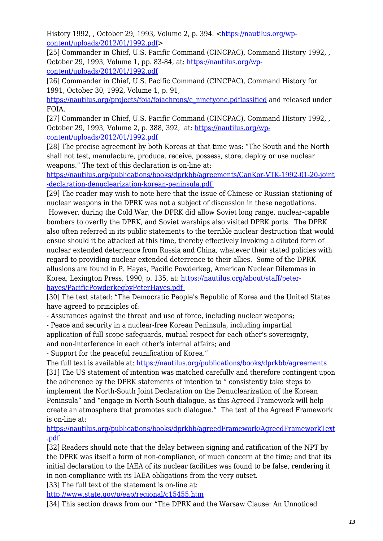History 1992, , October 29, 1993, Volume 2, p. 394, [<https://nautilus.org/wp](https://nautilus.org/wp-content/uploads/2012/01/1992.pdf)[content/uploads/2012/01/1992.pdf](https://nautilus.org/wp-content/uploads/2012/01/1992.pdf)>

<span id="page-12-0"></span>[25] Commander in Chief, U.S. Pacific Command (CINCPAC), Command History 1992, , October 29, 1993, Volume 1, pp. 83-84, at: [https://nautilus.org/wp](https://nautilus.org/wp-content/uploads/2012/01/1992.pdf)[content/uploads/2012/01/1992.pdf](https://nautilus.org/wp-content/uploads/2012/01/1992.pdf)

<span id="page-12-1"></span>[26] Commander in Chief, U.S. Pacific Command (CINCPAC), Command History for 1991, October 30, 1992, Volume 1, p. 91,

[https://nautilus.org/projects/foia/foiachrons/c\\_ninetyone.pdflassified](https://nautilus.org/projects/foia/foiachrons.html) and released under FOIA.

<span id="page-12-2"></span>[27] Commander in Chief, U.S. Pacific Command (CINCPAC), Command History 1992, , October 29, 1993, Volume 2, p. 388, 392, at: [https://nautilus.org/wp](https://nautilus.org/wp-content/uploads/2012/01/1992.pdf)[content/uploads/2012/01/1992.pdf](https://nautilus.org/wp-content/uploads/2012/01/1992.pdf)

<span id="page-12-3"></span>[28] The precise agreement by both Koreas at that time was: "The South and the North shall not test, manufacture, produce, receive, possess, store, deploy or use nuclear weapons." The text of this declaration is on-line at:

[https://nautilus.org/publications/books/dprkbb/agreements/CanKor-VTK-1992-01-20-joint](https://nautilus.org/publications/books/dprkbb/agreements/denuclearization.html) [-declaration-denuclearization-korean-peninsula.pdf](https://nautilus.org/publications/books/dprkbb/agreements/denuclearization.html) 

<span id="page-12-4"></span>[29] The reader may wish to note here that the issue of Chinese or Russian stationing of nuclear weapons in the DPRK was not a subject of discussion in these negotiations. However, during the Cold War, the DPRK did allow Soviet long range, nuclear-capable bombers to overfly the DPRK, and Soviet warships also visited DPRK ports. The DPRK also often referred in its public statements to the terrible nuclear destruction that would ensue should it be attacked at this time, thereby effectively invoking a diluted form of nuclear extended deterrence from Russia and China, whatever their stated policies with regard to providing nuclear extended deterrence to their allies. Some of the DPRK allusions are found in P. Hayes, Pacific Powderkeg, American Nuclear Dilemmas in Korea, Lexington Press, 1990, p. 135, at: [https://nautilus.org/about/staff/peter](https://nautilus.org/about/staff/peter-hayes/PacificPowderkegbyPeterHayes.pdf)[hayes/PacificPowderkegbyPeterHayes.pdf](https://nautilus.org/about/staff/peter-hayes/PacificPowderkegbyPeterHayes.pdf) 

<span id="page-12-5"></span>[30] The text stated: "The Democratic People's Republic of Korea and the United States have agreed to principles of:

- Assurances against the threat and use of force, including nuclear weapons;

- Peace and security in a nuclear-free Korean Peninsula, including impartial

application of full scope safeguards, mutual respect for each other's sovereignty, and non-interference in each other's internal affairs; and

- Support for the peaceful reunification of Korea."

<span id="page-12-6"></span>The full text is available at:<https://nautilus.org/publications/books/dprkbb/agreements> [31] The US statement of intention was matched carefully and therefore contingent upon the adherence by the DPRK statements of intention to " consistently take steps to implement the North-South Joint Declaration on the Denuclearization of the Korean Peninsula" and "engage in North-South dialogue, as this Agreed Framework will help create an atmosphere that promotes such dialogue." The text of the Agreed Framework is on-line at:

[https://nautilus.org/publications/books/dprkbb/agreedFramework/AgreedFrameworkText](https://nautilus.org/publications/books/dprkbb/agreedFramework/Pollack.html) [.pdf](https://nautilus.org/publications/books/dprkbb/agreedFramework/Pollack.html)

<span id="page-12-7"></span>[32] Readers should note that the delay between signing and ratification of the NPT by the DPRK was itself a form of non-compliance, of much concern at the time; and that its initial declaration to the IAEA of its nuclear facilities was found to be false, rendering it in non-compliance with its IAEA obligations from the very outset.

<span id="page-12-8"></span>[33] The full text of the statement is on-line at:

<http://www.state.gov/p/eap/regional/c15455.htm>

<span id="page-12-9"></span>[34] This section draws from our "The DPRK and the Warsaw Clause: An Unnoticed